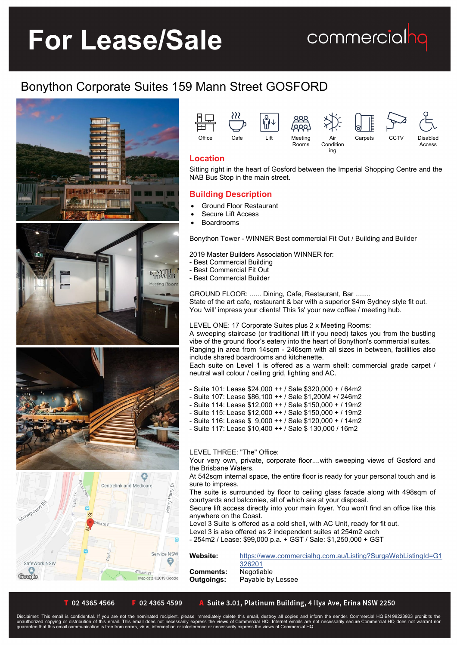# **For Lease/Sale**

### commercialhq

### Bonython Corporate Suites 159 Mann Street GOSFORD





ing

### **Location**

Sitting right in the heart of Gosford between the Imperial Shopping Centre and the NAB Bus Stop in the main street.

### **Building Description**

- Ground Floor Restaurant
- Secure Lift Access
- Boardrooms

Bonython Tower - WINNER Best commercial Fit Out / Building and Builder

2019 Master Builders Association WINNER for:

- Best Commercial Building
- Best Commercial Fit Out
- Best Commercial Builder

GROUND FLOOR: ...... Dining, Cafe, Restaurant, Bar ........ State of the art cafe, restaurant & bar with a superior \$4m Sydney style fit out. You 'will' impress your clients! This 'is' your new coffee / meeting hub.

LEVEL ONE: 17 Corporate Suites plus 2 x Meeting Rooms:

A sweeping staircase (or traditional lift if you need) takes you from the bustling vibe of the ground floor's eatery into the heart of Bonython's commercial suites. Ranging in area from 14sqm - 246sqm with all sizes in between, facilities also include shared boardrooms and kitchenette.

Each suite on Level 1 is offered as a warm shell: commercial grade carpet / neutral wall colour / ceiling grid, lighting and AC.

- Suite 101: Lease \$24,000 ++ / Sale \$320,000 + / 64m2
- Suite 107: Lease \$86,100 ++ / Sale \$1,200M +/ 246m2
- Suite 114: Lease \$12,000 ++ / Sale \$150,000 + / 19m2
- Suite 115: Lease \$12,000 ++ / Sale \$150,000 + / 19m2
- Suite 116: Lease \$ 9,000 ++ / Sale \$120,000 + / 14m2
- Suite 117: Lease \$10,400 ++ / Sale \$ 130,000 / 16m2

#### LEVEL THREE: "The" Office:

Your very own, private, corporate floor....with sweeping views of Gosford and the Brisbane Waters.

At 542sqm internal space, the entire floor is ready for your personal touch and is sure to impress.

The suite is surrounded by floor to ceiling glass facade along with 498sqm of courtyards and balconies, all of which are at your disposal.

Secure lift access directly into your main foyer. You won't find an office like this anywhere on the Coast.

Level 3 Suite is offered as a cold shell, with AC Unit, ready for fit out.

Level 3 is also offered as 2 independent suites at 254m2 each

- 254m2 / Lease: \$99,000 p.a. + GST / Sale: \$1,250,000 + GST

**Website:** [https://www.commercialhq.com.au/Listing?SurgaWebListingId=G1](https://www.commercialhq.com.au/Listing?SurgaWebListingId=G1326201) [326201](https://www.commercialhq.com.au/Listing?SurgaWebListingId=G1326201) **Comments:** Negotiable **Outgoings:** Payable by Lessee

T 02 4365 4566

02 4365 4599

Map data ©2019 Google

A Suite 3.01, Platinum Building, 4 Ilya Ave, Erina NSW 2250

Disclaimer: This email is confidential. If you are not the nominated recipient, please immediately delete this email, destroy all copies and inform the sender. Commercial HQ BN 98223923 prohibits the<br>unauthorized copying o